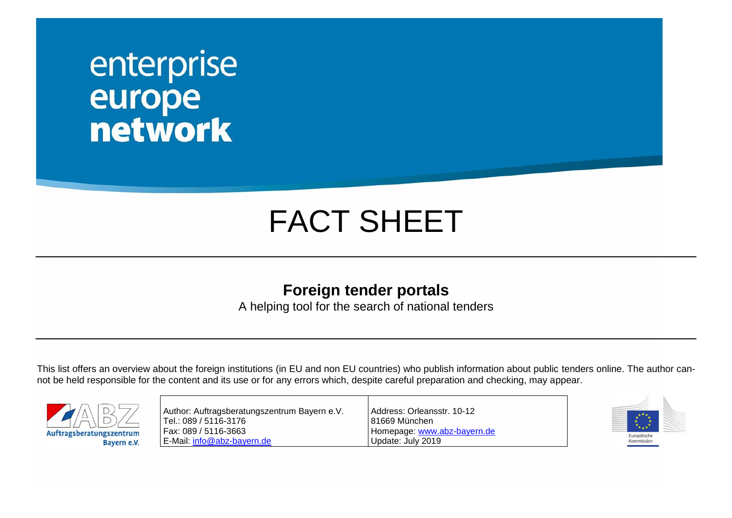## enterprise<br>
europe<br>
network

## FACT SHEET

## **Foreign tender portals**

A helping tool for the search of national tenders

This list offers an overview about the foreign institutions (in EU and non EU countries) who publish information about public tenders online. The author cannot be held responsible for the content and its use or for any errors which, despite careful preparation and checking, may appear.



| Author: Auftragsberatungszentrum Bayern e.V. | Address: Orleansstr. 10-12  |
|----------------------------------------------|-----------------------------|
| Tel.: 089 / 5116-3176                        | l 81669 München             |
| Fax: 089 / 5116-3663                         | Homepage: www.abz-bayern.de |
| E-Mail: info@abz-bayern.de                   | Update: July 2019           |

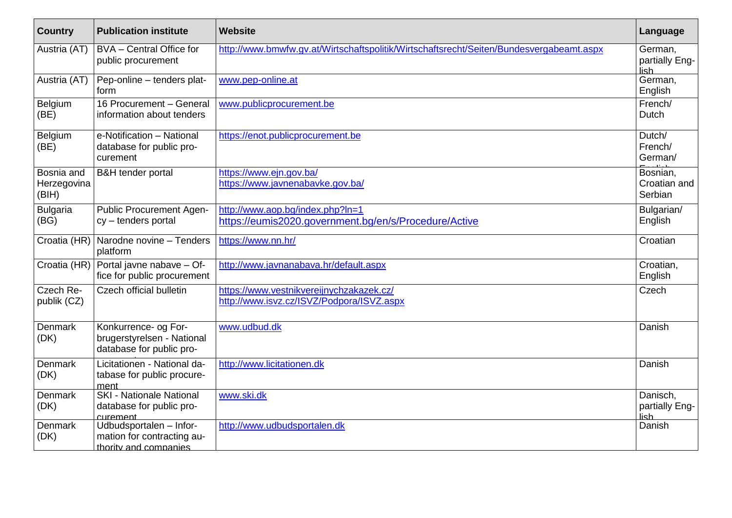| <b>Country</b>                     | <b>Publication institute</b>                                                   | <b>Website</b>                                                                            | Language                            |
|------------------------------------|--------------------------------------------------------------------------------|-------------------------------------------------------------------------------------------|-------------------------------------|
| Austria (AT)                       | BVA - Central Office for<br>public procurement                                 | http://www.bmwfw.qv.at/Wirtschaftspolitik/Wirtschaftsrecht/Seiten/Bundesvergabeamt.aspx   | German,<br>partially Eng-<br>lish   |
| Austria (AT)                       | Pep-online - tenders plat-<br>form                                             | www.pep-online.at                                                                         | German,<br>English                  |
| Belgium<br>(BE)                    | 16 Procurement - General<br>information about tenders                          | www.publicprocurement.be                                                                  | French/<br>Dutch                    |
| Belgium<br>(BE)                    | e-Notification - National<br>database for public pro-<br>curement              | https://enot.publicprocurement.be                                                         | Dutch/<br>French/<br>German/        |
| Bosnia and<br>Herzegovina<br>(BIH) | <b>B&amp;H</b> tender portal                                                   | https://www.ejn.gov.ba/<br>https://www.javnenabavke.gov.ba/                               | Bosnian,<br>Croatian and<br>Serbian |
| <b>Bulgaria</b><br>(BG)            | Public Procurement Agen-<br>cy - tenders portal                                | http://www.aop.bg/index.php?ln=1<br>https://eumis2020.government.bg/en/s/Procedure/Active | Bulgarian/<br>English               |
|                                    | Croatia (HR)   Narodne novine - Tenders<br>platform                            | https://www.nn.hr/                                                                        | Croatian                            |
|                                    | Croatia (HR) Portal javne nabave - Of-<br>fice for public procurement          | http://www.javnanabava.hr/default.aspx                                                    | Croatian,<br>English                |
| Czech Re-<br>publik (CZ)           | Czech official bulletin                                                        | https://www.vestnikvereijnychzakazek.cz/<br>http://www.isvz.cz/ISVZ/Podpora/ISVZ.aspx     | Czech                               |
| Denmark<br>(DK)                    | Konkurrence- og For-<br>brugerstyrelsen - National<br>database for public pro- | www.udbud.dk                                                                              | Danish                              |
| Denmark<br>(DK)                    | Licitationen - National da-<br>tabase for public procure-<br>ment              | http://www.licitationen.dk                                                                | Danish                              |
| Denmark<br>(DK)                    | <b>SKI - Nationale National</b><br>database for public pro-<br>curement        | www.ski.dk                                                                                | Danisch,<br>partially Eng-<br>lish  |
| Denmark<br>(DK)                    | Udbudsportalen - Infor-<br>mation for contracting au-<br>thority and companies | http://www.udbudsportalen.dk                                                              | Danish                              |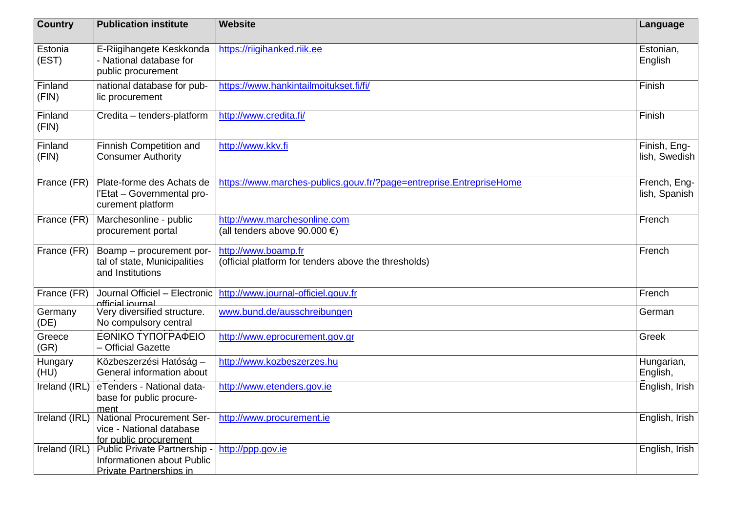| <b>Country</b>   | <b>Publication institute</b>                                                           | <b>Website</b>                                                              | Language                      |
|------------------|----------------------------------------------------------------------------------------|-----------------------------------------------------------------------------|-------------------------------|
| Estonia<br>(EST) | E-Riigihangete Keskkonda<br>- National database for<br>public procurement              | https://riigihanked.riik.ee                                                 | Estonian,<br>English          |
| Finland<br>(FIN) | national database for pub-<br>lic procurement                                          | https://www.hankintailmoitukset.fi/fi/                                      | Finish                        |
| Finland<br>(FIN) | Credita - tenders-platform                                                             | http://www.credita.fi/                                                      | Finish                        |
| Finland<br>(FIN) | Finnish Competition and<br><b>Consumer Authority</b>                                   | http://www.kkv.fi                                                           | Finish, Eng-<br>lish, Swedish |
| France (FR)      | Plate-forme des Achats de<br>l'Etat - Governmental pro-<br>curement platform           | https://www.marches-publics.gouv.fr/?page=entreprise.EntrepriseHome         | French, Eng-<br>lish, Spanish |
| France (FR)      | Marchesonline - public<br>procurement portal                                           | http://www.marchesonline.com<br>(all tenders above 90.000 €)                | French                        |
| France (FR)      | Boamp - procurement por-<br>tal of state, Municipalities<br>and Institutions           | http://www.boamp.fr<br>(official platform for tenders above the thresholds) | French                        |
| France (FR)      | Journal Officiel - Electronic<br>official iournal                                      | http://www.journal-officiel.gouv.fr                                         | French                        |
| Germany<br>(DE)  | Very diversified structure.<br>No compulsory central                                   | www.bund.de/ausschreibungen                                                 | German                        |
| Greece<br>(GR)   | ΕΘΝΙΚΟ ΤΥΠΟΓΡΑΦΕΙΟ<br>- Official Gazette                                               | http://www.eprocurement.gov.gr                                              | Greek                         |
| Hungary<br>(HU)  | Közbeszerzési Hatóság -<br>General information about                                   | http://www.kozbeszerzes.hu                                                  | Hungarian,<br>English,        |
| Ireland (IRL)    | eTenders - National data-<br>base for public procure-<br>ment                          | http://www.etenders.gov.ie                                                  | English, Irish                |
| Ireland (IRL)    | <b>National Procurement Ser-</b><br>vice - National database<br>for public procurement | http://www.procurement.ie                                                   | English, Irish                |
| Ireland (IRL)    | Public Private Partnership -<br>Informationen about Public<br>Private Partnerships in  | http://ppp.gov.ie                                                           | English, Irish                |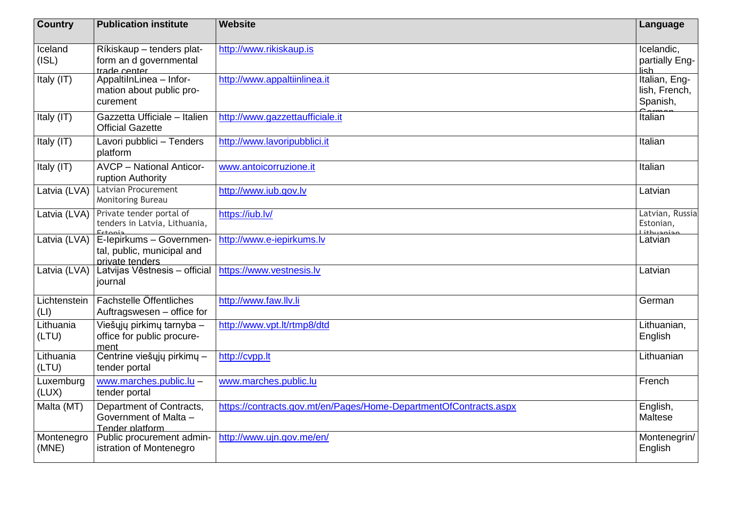| <b>Country</b>       | <b>Publication institute</b>                                              | <b>Website</b>                                                    | Language                                   |
|----------------------|---------------------------------------------------------------------------|-------------------------------------------------------------------|--------------------------------------------|
| Iceland<br>(ISL)     | Ríkiskaup - tenders plat-<br>form an d governmental<br>trade center       | http://www.rikiskaup.is                                           | Icelandic,<br>partially Eng-<br>lish       |
| Italy (IT)           | AppaltilnLinea - Infor-<br>mation about public pro-<br>curement           | http://www.appaltiinlinea.it                                      | Italian, Eng-<br>lish, French,<br>Spanish, |
| Italy (IT)           | Gazzetta Ufficiale - Italien<br><b>Official Gazette</b>                   | http://www.gazzettaufficiale.it                                   | Italian                                    |
| Italy (IT)           | Lavori pubblici - Tenders<br>platform                                     | http://www.lavoripubblici.it                                      | Italian                                    |
| Italy (IT)           | <b>AVCP - National Anticor-</b><br>ruption Authority                      | www.antoicorruzione.it                                            | Italian                                    |
| Latvia (LVA)         | Latvian Procurement<br>Monitoring Bureau                                  | http://www.iub.gov.lv                                             | Latvian                                    |
| Latvia (LVA)         | Private tender portal of<br>tenders in Latvia, Lithuania,<br>$E_{at}$     | https://iub.lv/                                                   | Latvian, Russia<br>Estonian,               |
| Latvia (LVA)         | E-lepirkums - Governmen-<br>tal, public, municipal and<br>private tenders | http://www.e-iepirkums.lv                                         | Latvian                                    |
| Latvia (LVA)         | Latvijas Vēstnesis - official<br>journal                                  | https://www.vestnesis.lv                                          | Latvian                                    |
| Lichtenstein<br>(LI) | Fachstelle Öffentliches<br>Auftragswesen - office for                     | http://www.faw.llv.li                                             | German                                     |
| Lithuania<br>(LTU)   | Viešųjų pirkimų tarnyba -<br>office for public procure-<br>ment           | http://www.vpt.lt/rtmp8/dtd                                       | Lithuanian,<br>English                     |
| Lithuania<br>(LTU)   | Centrine viešųjų pirkimų -<br>tender portal                               | http://cvpp.lt                                                    | Lithuanian                                 |
| Luxemburg<br>(LUX)   | www.marches.public.lu -<br>tender portal                                  | www.marches.public.lu                                             | French                                     |
| Malta (MT)           | Department of Contracts,<br>Government of Malta -<br>Tender platform      | https://contracts.gov.mt/en/Pages/Home-DepartmentOfContracts.aspx | English,<br>Maltese                        |
| Montenegro<br>(MNE)  | Public procurement admin-<br>istration of Montenegro                      | http://www.ujn.gov.me/en/                                         | Montenegrin/<br>English                    |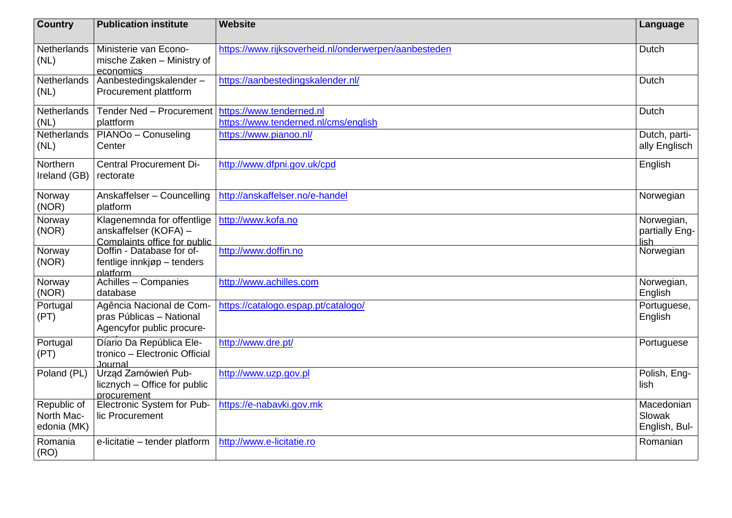| <b>Country</b>                           | <b>Publication institute</b>                                                        | <b>Website</b>                                                   | Language                              |
|------------------------------------------|-------------------------------------------------------------------------------------|------------------------------------------------------------------|---------------------------------------|
| Netherlands<br>(NL)                      | Ministerie van Econo-<br>mische Zaken - Ministry of<br>economics                    | https://www.rijksoverheid.nl/onderwerpen/aanbesteden             | Dutch                                 |
| <b>Netherlands</b><br>(NL)               | Aanbestedingskalender-<br>Procurement plattform                                     | https://aanbestedingskalender.nl/                                | Dutch                                 |
| Netherlands<br>(NL)                      | Tender Ned - Procurement<br>plattform                                               | https://www.tenderned.nl<br>https://www.tenderned.nl/cms/english | Dutch                                 |
| Netherlands<br>(NL)                      | PIANO <sub>o</sub> - Conuseling<br>Center                                           | https://www.pianoo.nl/                                           | Dutch, parti-<br>ally Englisch        |
| Northern<br>Ireland (GB)                 | <b>Central Procurement Di-</b><br>rectorate                                         | http://www.dfpni.gov.uk/cpd                                      | English                               |
| Norway<br>(NOR)                          | Anskaffelser - Councelling<br>platform                                              | http://anskaffelser.no/e-handel                                  | Norwegian                             |
| Norway<br>(NOR)                          | Klagenemnda for offentlige<br>anskaffelser (KOFA) -<br>Complaints office for public | http://www.kofa.no                                               | Norwegian,<br>partially Eng-<br>lish  |
| Norway<br>(NOR)                          | Doffin - Database for of-<br>fentlige innkjøp - tenders<br>platform                 | http://www.doffin.no                                             | Norwegian                             |
| Norway<br>(NOR)                          | Achilles - Companies<br>database                                                    | http://www.achilles.com                                          | Norwegian,<br>English                 |
| Portugal<br>(PT)                         | Agência Nacional de Com-<br>pras Públicas - National<br>Agencyfor public procure-   | https://catalogo.espap.pt/catalogo/                              | Portuguese,<br>English                |
| Portugal<br>(PT)                         | Díario Da República Ele-<br>tronico - Electronic Official<br>Journal                | http://www.dre.pt/                                               | Portuguese                            |
| Poland (PL)                              | Urząd Zamówień Pub-<br>licznych – Office for public<br>procurement                  | http://www.uzp.gov.pl                                            | Polish, Eng-<br>lish                  |
| Republic of<br>North Mac-<br>edonia (MK) | Electronic System for Pub-<br>lic Procurement                                       | https://e-nabavki.gov.mk                                         | Macedonian<br>Slowak<br>English, Bul- |
| Romania<br>(RO)                          | e-licitatie - tender platform                                                       | http://www.e-licitatie.ro                                        | Romanian                              |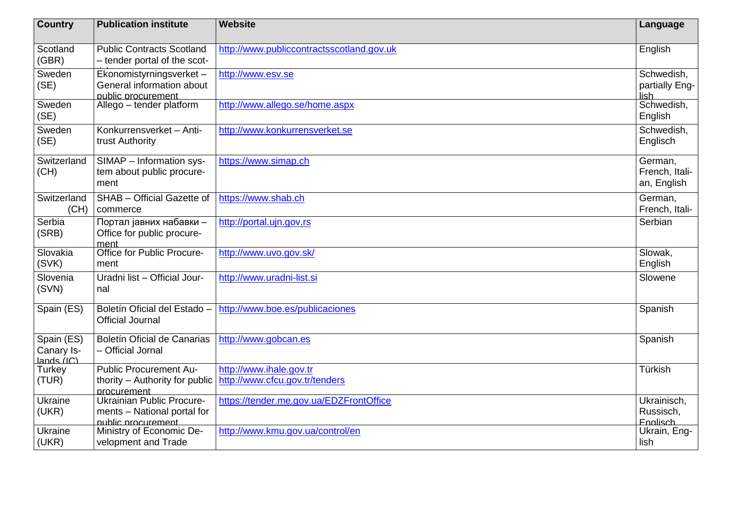| <b>Country</b>                         | <b>Publication institute</b>                                                   | <b>Website</b>                                            | Language                                 |
|----------------------------------------|--------------------------------------------------------------------------------|-----------------------------------------------------------|------------------------------------------|
| Scotland<br>(GBR)                      | <b>Public Contracts Scotland</b><br>- tender portal of the scot-               | http://www.publiccontractsscotland.gov.uk                 | English                                  |
| Sweden<br>(SE)                         | Ekonomistyrningsverket -<br>General information about<br>public procurement    | http://www.esv.se                                         | Schwedish,<br>partially Eng-<br>lish     |
| Sweden<br>(SE)                         | Allego - tender platform                                                       | http://www.allego.se/home.aspx                            | Schwedish,<br>English                    |
| Sweden<br>(SE)                         | Konkurrensverket - Anti-<br>trust Authority                                    | http://www.konkurrensverket.se                            | Schwedish,<br>Englisch                   |
| Switzerland<br>(CH)                    | SIMAP - Information sys-<br>tem about public procure-<br>ment                  | https://www.simap.ch                                      | German,<br>French, Itali-<br>an, English |
| Switzerland<br>(CH)                    | SHAB - Official Gazette of<br>commerce                                         | https://www.shab.ch                                       | German,<br>French, Itali-                |
| Serbia<br>(SRB)                        | Портал јавних набавки -<br>Office for public procure-<br>ment                  | http://portal.ujn.gov.rs                                  | Serbian                                  |
| Slovakia<br>(SVK)                      | Office for Public Procure-<br>ment                                             | http://www.uvo.gov.sk/                                    | Slowak,<br>English                       |
| Slovenia<br>(SVN)                      | Uradni list - Official Jour-<br>nal                                            | http://www.uradni-list.si                                 | Slowene                                  |
| Spain (ES)                             | Boletín Oficial del Estado -<br><b>Official Journal</b>                        | http://www.boe.es/publicaciones                           | Spanish                                  |
| Spain (ES)<br>Canary Is-<br>lands (IC) | <b>Boletín Oficial de Canarias</b><br>- Official Jornal                        | http://www.gobcan.es                                      | Spanish                                  |
| Turkey<br>(TUR)                        | <b>Public Procurement Au-</b><br>thority - Authority for public<br>procurement | http://www.ihale.gov.tr<br>http://www.cfcu.gov.tr/tenders | Türkish                                  |
| Ukraine<br>(UKR)                       | Ukrainian Public Procure-<br>ments - National portal for<br>public procurement | https://tender.me.gov.ua/EDZFrontOffice                   | Ukrainisch,<br>Russisch,<br>Fnalisch     |
| Ukraine<br>(UKR)                       | Ministry of Economic De-<br>velopment and Trade                                | http://www.kmu.gov.ua/control/en                          | Ukrain, Eng-<br>lish                     |